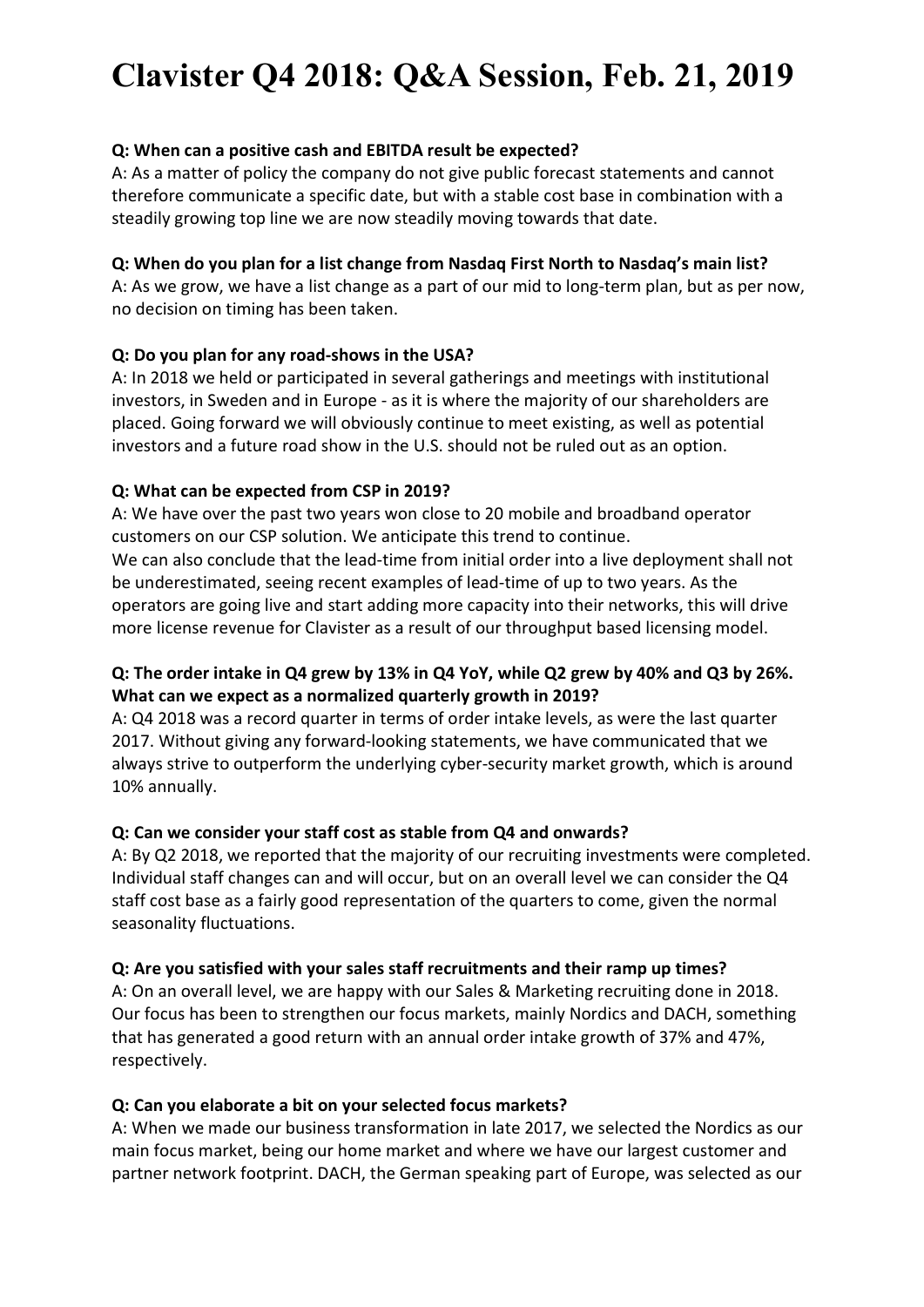# Clavister Q4 2018: Q&A Session, Feb. 21, 2019

## Q: When can a positive cash and EBITDA result be expected?

A: As a matter of policy the company do not give public forecast statements and cannot therefore communicate a specific date, but with a stable cost base in combination with a steadily growing top line we are now steadily moving towards that date.

## Q: When do you plan for a list change from Nasdaq First North to Nasdaq's main list?

A: As we grow, we have a list change as a part of our mid to long-term plan, but as per now, no decision on timing has been taken.

# Q: Do you plan for any road-shows in the USA?

A: In 2018 we held or participated in several gatherings and meetings with institutional investors, in Sweden and in Europe - as it is where the majority of our shareholders are placed. Going forward we will obviously continue to meet existing, as well as potential investors and a future road show in the U.S. should not be ruled out as an option.

# Q: What can be expected from CSP in 2019?

A: We have over the past two years won close to 20 mobile and broadband operator customers on our CSP solution. We anticipate this trend to continue. We can also conclude that the lead-time from initial order into a live deployment shall not be underestimated, seeing recent examples of lead-time of up to two years. As the operators are going live and start adding more capacity into their networks, this will drive more license revenue for Clavister as a result of our throughput based licensing model.

# Q: The order intake in Q4 grew by 13% in Q4 YoY, while Q2 grew by 40% and Q3 by 26%. What can we expect as a normalized quarterly growth in 2019?

A: Q4 2018 was a record quarter in terms of order intake levels, as were the last quarter 2017. Without giving any forward-looking statements, we have communicated that we always strive to outperform the underlying cyber-security market growth, which is around 10% annually.

#### Q: Can we consider your staff cost as stable from Q4 and onwards?

A: By Q2 2018, we reported that the majority of our recruiting investments were completed. Individual staff changes can and will occur, but on an overall level we can consider the Q4 staff cost base as a fairly good representation of the quarters to come, given the normal seasonality fluctuations.

#### Q: Are you satisfied with your sales staff recruitments and their ramp up times?

A: On an overall level, we are happy with our Sales & Marketing recruiting done in 2018. Our focus has been to strengthen our focus markets, mainly Nordics and DACH, something that has generated a good return with an annual order intake growth of 37% and 47%, respectively.

#### Q: Can you elaborate a bit on your selected focus markets?

A: When we made our business transformation in late 2017, we selected the Nordics as our main focus market, being our home market and where we have our largest customer and partner network footprint. DACH, the German speaking part of Europe, was selected as our